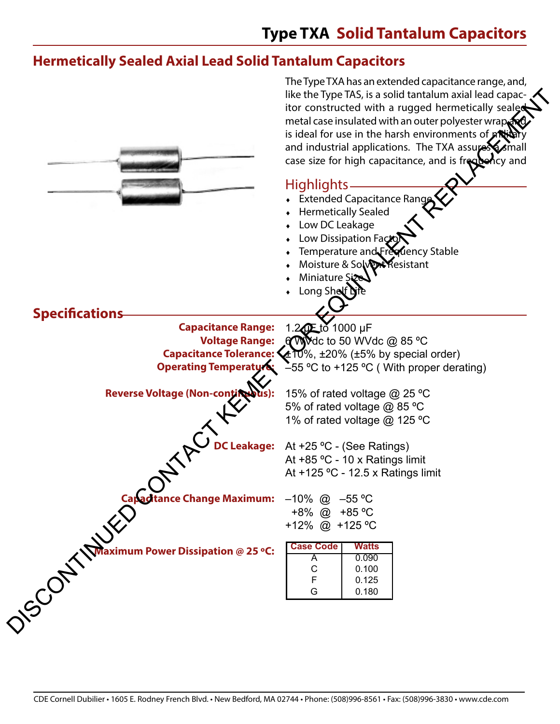#### **Hermetically Sealed Axial Lead Solid Tantalum Capacitors**

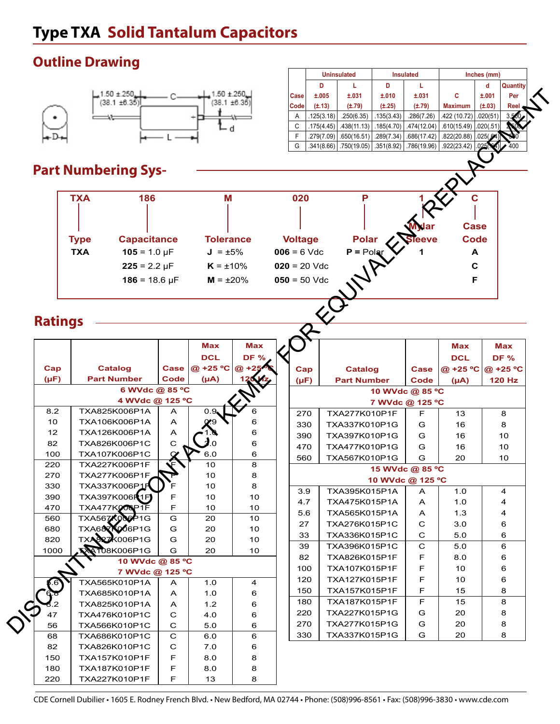### **Outline Drawing**



# **Part Numbering Sys-**



Uninsulated **Insulated** Insulated **Inches (mm) D L D L d Quantity**

#### **Ratings**

|                    | $1.50 \pm 250$<br>(38.1 ±6.35)    |                  | .50 ±.250<br>$(38.1 + 6.35)$ |             | Case<br>Code   | ±.005<br>$(\pm .13)$      | ±.031<br>$(\pm .79)$ | ±.010<br>$(\pm .25)$ | ±.031<br>$(\pm .79)$                                            | C<br><b>Maximum</b>        | ±.001<br>$(\pm .03)$ | Per<br><b>Ree</b> |
|--------------------|-----------------------------------|------------------|------------------------------|-------------|----------------|---------------------------|----------------------|----------------------|-----------------------------------------------------------------|----------------------------|----------------------|-------------------|
|                    |                                   |                  |                              |             | A              | .125(3.18)                | .250(6.35)           | .135(3.43)           | .286(7.26)                                                      | .422 (10.72)               | .020(51)             |                   |
|                    |                                   |                  |                              |             | C              | $.175(4.45)$ . 438(11.13) |                      | .185(4.70)           | .474(12.04)                                                     | .610(15.49)                | .020(.51             |                   |
|                    |                                   |                  |                              |             | F<br>G         | $.279(7.09)$ .650(16.51)  |                      | .289(7.34)           | .686(17.42)<br>$.341(8.66)$ . 750(19.05). 351(8.92). 786(19.96) | .822(20.88)<br>.922(23.42) | .025(.6)             |                   |
|                    |                                   |                  |                              |             |                |                           |                      |                      |                                                                 |                            |                      |                   |
|                    | <b>Part Numbering Sys-</b>        |                  |                              |             |                |                           |                      |                      |                                                                 |                            |                      |                   |
|                    |                                   |                  |                              |             |                |                           |                      |                      |                                                                 |                            |                      |                   |
|                    | <b>TXA</b><br>186                 |                  | M                            |             | 020            |                           | P                    |                      |                                                                 |                            |                      |                   |
|                    |                                   |                  |                              |             |                |                           |                      |                      |                                                                 |                            |                      |                   |
|                    |                                   |                  |                              |             |                |                           |                      |                      |                                                                 | <b>Case</b>                |                      |                   |
|                    | <b>Capacitance</b><br><b>Type</b> |                  | <b>Tolerance</b>             |             | <b>Voltage</b> |                           | <b>Polar</b>         |                      |                                                                 | <b>Code</b>                |                      |                   |
|                    | $105 = 1.0 \mu F$<br><b>TXA</b>   |                  | $J = \pm 5\%$                |             | $006 = 6$ Vdc  |                           | $P =$ Polar          |                      |                                                                 | A                          |                      |                   |
|                    | $225 = 2.2 \mu F$                 |                  |                              |             | $020 = 20$ Vdc |                           |                      |                      |                                                                 | C                          |                      |                   |
|                    |                                   |                  | $K = \pm 10\%$               |             |                |                           |                      |                      |                                                                 |                            |                      |                   |
|                    | $186 = 18.6 \,\mu F$              |                  | $M = \pm 20\%$               |             | $050 = 50$ Vdc |                           |                      |                      |                                                                 | F                          |                      |                   |
|                    |                                   |                  |                              |             |                |                           |                      |                      |                                                                 |                            |                      |                   |
| <b>Ratings</b>     |                                   |                  |                              |             |                |                           |                      |                      |                                                                 |                            |                      |                   |
|                    |                                   |                  |                              |             |                |                           |                      |                      |                                                                 |                            |                      |                   |
|                    |                                   |                  | <b>Max</b>                   | <b>Max</b>  |                |                           |                      |                      |                                                                 | Max                        |                      | Max               |
|                    |                                   |                  | <b>DCL</b>                   | <b>DF %</b> |                |                           |                      |                      |                                                                 | <b>DCL</b>                 |                      | <b>DF %</b>       |
| Cap                | <b>Catalog</b>                    | Case             | @ +25 °C                     | $\omega$ +2 | Cap            |                           | <b>Catalog</b>       |                      | <b>Case</b>                                                     | @ +25 °C                   | @ +25 °C             |                   |
| $(\mu F)$          | <b>Part Number</b>                | Code             | $(\mu A)$                    |             | $(\mu F)$      |                           | <b>Part Number</b>   |                      | Code                                                            | $(\mu A)$                  |                      | <b>120 Hz</b>     |
|                    | 6 WVdc @ 85 °C                    |                  |                              |             |                |                           |                      |                      | 10 WVdc @ 85 °C                                                 |                            |                      |                   |
|                    | 4 WVdc @ 125 °C                   |                  |                              |             |                |                           |                      |                      | 7 WVdc @ 125 °C                                                 |                            |                      |                   |
| 8.2                | TXA825K006P1A                     | A                | 0.9                          | 6           | 270            |                           | TXA277K010P1F        |                      | F                                                               | 13                         |                      | 8                 |
| 10                 | TXA106K006P1A                     | A                |                              | 6           | 330            |                           | TXA337K010P1G        |                      | G                                                               | 16                         |                      | 8                 |
| 12<br>82           | TXA126K006P1A<br>TXA826K006P1C    | A<br>$\mathbf C$ |                              | 6<br>6      | 390            |                           | TXA397K010P1G        |                      | G                                                               | 16                         |                      | 10                |
|                    |                                   |                  |                              |             | 470            |                           |                      | TXA477K010P1G        | G                                                               | 16                         |                      | 10                |
|                    |                                   |                  |                              |             |                |                           |                      |                      |                                                                 |                            |                      | 10                |
| 100                | TXA107K006P1C                     |                  | 6.0                          | 6           | 560            |                           | TXA567K010P1G        |                      | G                                                               | 20                         |                      |                   |
| 220                | TXA227K006P1F                     |                  | 10                           | 8           |                |                           |                      |                      | 15 WVdc @ 85 °C                                                 |                            |                      |                   |
| 270                | TXA277K006P1F                     |                  | 10                           | 8           |                |                           |                      |                      | 10 WVdc @ 125 °C                                                |                            |                      |                   |
| 330                | TXA337K006P1F                     | E                | 10                           | 8           | 3.9            |                           | TXA395K015P1A        |                      | A                                                               | 1.0                        |                      | 4                 |
| 390                | TXA397K006R1FI                    |                  | 10                           | 10          | 4.7            |                           | TXA475K015P1A        |                      | A                                                               | 1.0                        |                      | 4                 |
| 470                | TXA477KOOP1F                      | F                | 10                           | 10          | 5.6            |                           | TXA565K015P1A        |                      | A                                                               | 1.3                        |                      | 4                 |
| 560                | TXA567K006P1G                     | G                | 20                           | 10          | 27             |                           | TXA276K015P1C        |                      | C                                                               | 3.0                        |                      | 6                 |
| 680                | TXA68XX006P1G                     | G                | 20                           | 10          | 33             |                           | TXA336K015P1C        |                      | C                                                               | 5.0                        |                      | 6                 |
| 820                | <b>TXASZK006P1G</b>               | G                | 20                           | 10          | 39             |                           | TXA396K015P1C        |                      | $\mathbf C$                                                     | 5.0                        |                      | 6                 |
|                    | A108K006P1G                       | G                | 20                           | 10          | 82             |                           | TXA826K015P1F        |                      | F                                                               | 8.0                        |                      | 6                 |
|                    | 10 WVdc @ 85 °C                   |                  |                              |             | 100            |                           | TXA107K015P1F        |                      | F                                                               | 10                         |                      | 6                 |
|                    | 7 WVdc @ 125 °C                   |                  |                              |             | 120            |                           | TXA127K015P1F        |                      | F                                                               | 10                         |                      | 6                 |
|                    | TXA565K010P1A                     | A                | 1.0                          | 4           | 150            |                           | TXA157K015P1F        |                      | $\mathsf F$                                                     | 15                         |                      | 8                 |
|                    | TXA685K010P1A                     | Α                | 1.0                          | 6           | 180            |                           | TXA187K015P1F        |                      | $\mathsf F$                                                     | 15                         |                      | 8                 |
|                    | TXA825K010P1A                     | Α                | $1.2$                        | 6           | 220            |                           | TXA227K015P1G        |                      | G                                                               | 20                         |                      | 8                 |
| 47                 | TXA476K010P1C                     | C                | 4.0                          | 6           | 270            |                           | TXA277K015P1G        |                      | G                                                               | 20                         |                      | 8                 |
| 56                 | TXA566K010P1C                     | $\mathbf C$      | 5.0                          | 6           | 330            |                           | TXA337K015P1G        |                      | G                                                               | 20                         |                      | 8                 |
| 68                 | TXA686K010P1C                     | $\mathbf C$      | 6.0                          | 6           |                |                           |                      |                      |                                                                 |                            |                      |                   |
| 82                 | TXA826K010P1C                     | C                | 7.0                          | 6           |                |                           |                      |                      |                                                                 |                            |                      |                   |
| 1000<br>150<br>180 | TXA157K010P1F<br>TXA187K010P1F    | F<br>F           | 8.0<br>8.0                   | 8<br>8      |                |                           |                      |                      |                                                                 |                            |                      |                   |

CDE Cornell Dubilier • 1605 E. Rodney French Blvd. • New Bedford, MA 02744 • Phone: (508)996-8561 • Fax: (508)996-3830 • www.cde.com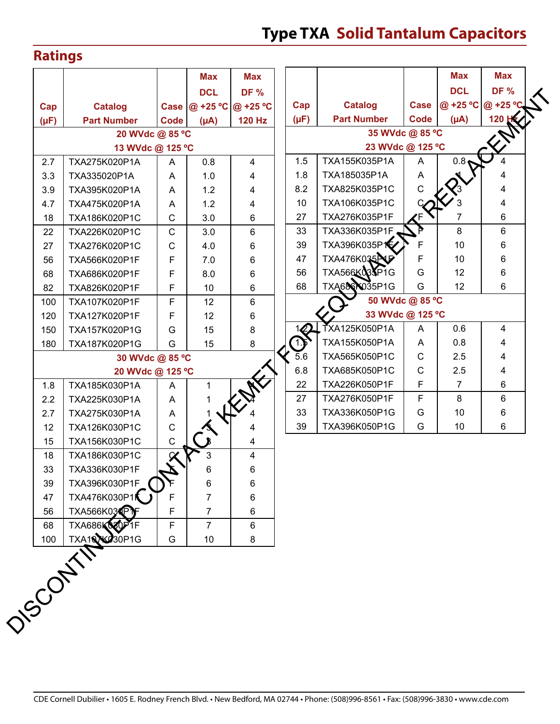#### **Ratings**